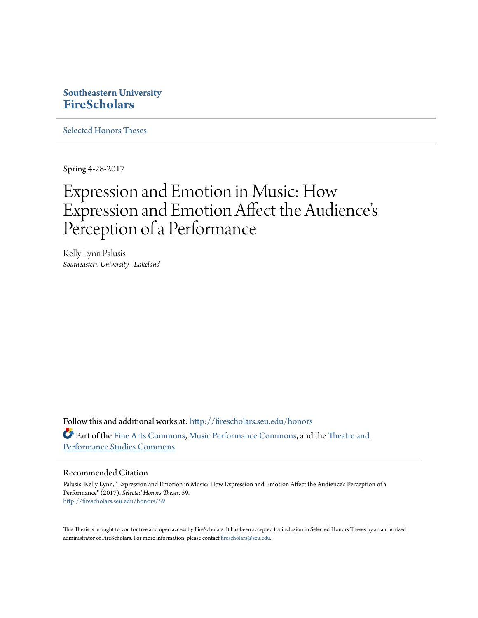# **Southeastern University [FireScholars](http://firescholars.seu.edu?utm_source=firescholars.seu.edu%2Fhonors%2F59&utm_medium=PDF&utm_campaign=PDFCoverPages)**

[Selected Honors Theses](http://firescholars.seu.edu/honors?utm_source=firescholars.seu.edu%2Fhonors%2F59&utm_medium=PDF&utm_campaign=PDFCoverPages)

Spring 4-28-2017

# Expression and Emotion in Music: How Expression and Emotion Affect the Audience s י<br>' י Perception of a Performance

Kelly Lynn Palusis *Southeastern University - Lakeland*

Follow this and additional works at: [http://firescholars.seu.edu/honors](http://firescholars.seu.edu/honors?utm_source=firescholars.seu.edu%2Fhonors%2F59&utm_medium=PDF&utm_campaign=PDFCoverPages) Part of the [Fine Arts Commons](http://network.bepress.com/hgg/discipline/1141?utm_source=firescholars.seu.edu%2Fhonors%2F59&utm_medium=PDF&utm_campaign=PDFCoverPages), [Music Performance Commons,](http://network.bepress.com/hgg/discipline/1128?utm_source=firescholars.seu.edu%2Fhonors%2F59&utm_medium=PDF&utm_campaign=PDFCoverPages) and the [Theatre and](http://network.bepress.com/hgg/discipline/552?utm_source=firescholars.seu.edu%2Fhonors%2F59&utm_medium=PDF&utm_campaign=PDFCoverPages) [Performance Studies Commons](http://network.bepress.com/hgg/discipline/552?utm_source=firescholars.seu.edu%2Fhonors%2F59&utm_medium=PDF&utm_campaign=PDFCoverPages)

#### Recommended Citation

Palusis, Kelly Lynn, "Expression and Emotion in Music: How Expression and Emotion Affect the Audience's Perception of a Performance" (2017). *Selected Honors Theses*. 59. [http://firescholars.seu.edu/honors/59](http://firescholars.seu.edu/honors/59?utm_source=firescholars.seu.edu%2Fhonors%2F59&utm_medium=PDF&utm_campaign=PDFCoverPages)

This Thesis is brought to you for free and open access by FireScholars. It has been accepted for inclusion in Selected Honors Theses by an authorized administrator of FireScholars. For more information, please contact [firescholars@seu.edu](mailto:firescholars@seu.edu).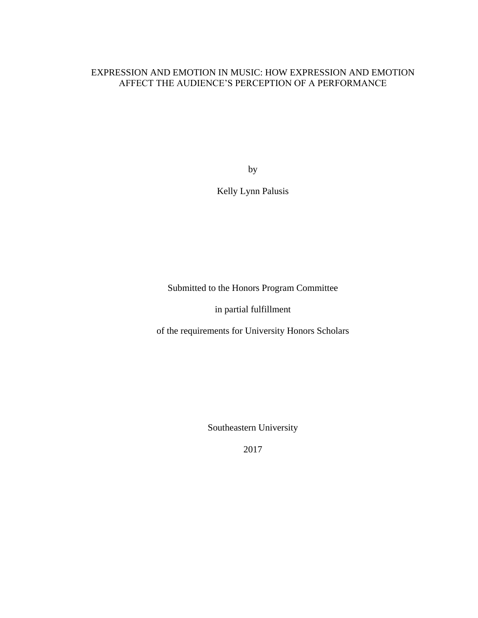# EXPRESSION AND EMOTION IN MUSIC: HOW EXPRESSION AND EMOTION AFFECT THE AUDIENCE'S PERCEPTION OF A PERFORMANCE

by

Kelly Lynn Palusis

Submitted to the Honors Program Committee

in partial fulfillment

of the requirements for University Honors Scholars

Southeastern University

2017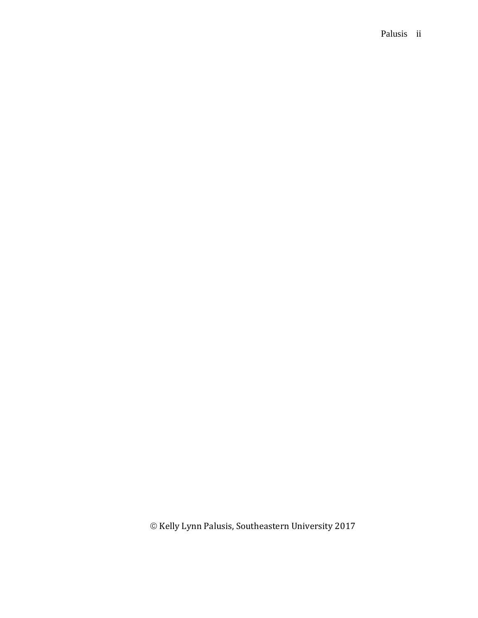### Palusis ii

 $\odot$  Kelly Lynn Palusis, Southeastern University 2017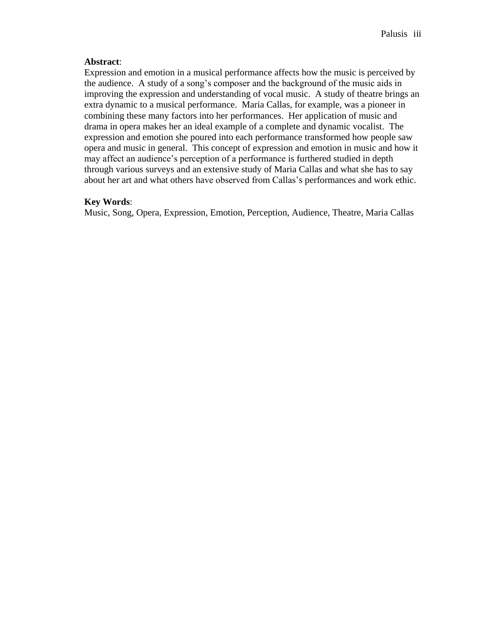#### **Abstract**:

Expression and emotion in a musical performance affects how the music is perceived by the audience. A study of a song's composer and the background of the music aids in improving the expression and understanding of vocal music. A study of theatre brings an extra dynamic to a musical performance. Maria Callas, for example, was a pioneer in combining these many factors into her performances. Her application of music and drama in opera makes her an ideal example of a complete and dynamic vocalist. The expression and emotion she poured into each performance transformed how people saw opera and music in general. This concept of expression and emotion in music and how it may affect an audience's perception of a performance is furthered studied in depth through various surveys and an extensive study of Maria Callas and what she has to say about her art and what others have observed from Callas's performances and work ethic.

### **Key Words**:

Music, Song, Opera, Expression, Emotion, Perception, Audience, Theatre, Maria Callas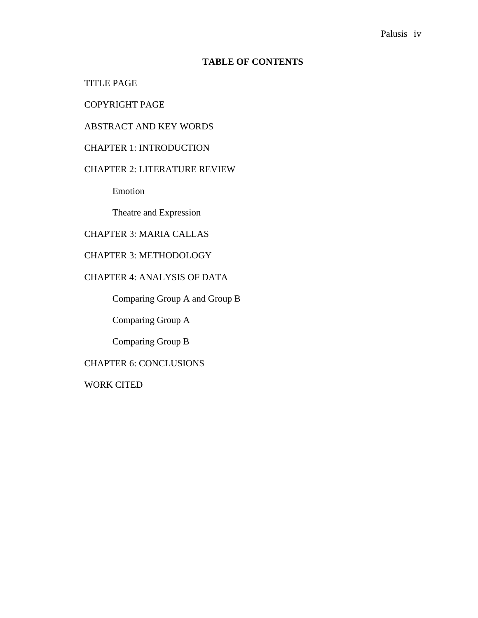### **TABLE OF CONTENTS**

### TITLE PAGE

# COPYRIGHT PAGE

### ABSTRACT AND KEY WORDS

### CHAPTER 1: INTRODUCTION

#### CHAPTER 2: LITERATURE REVIEW

Emotion

Theatre and Expression

# CHAPTER 3: MARIA CALLAS

### CHAPTER 3: METHODOLOGY

### CHAPTER 4: ANALYSIS OF DATA

Comparing Group A and Group B

Comparing Group A

Comparing Group B

### CHAPTER 6: CONCLUSIONS

WORK CITED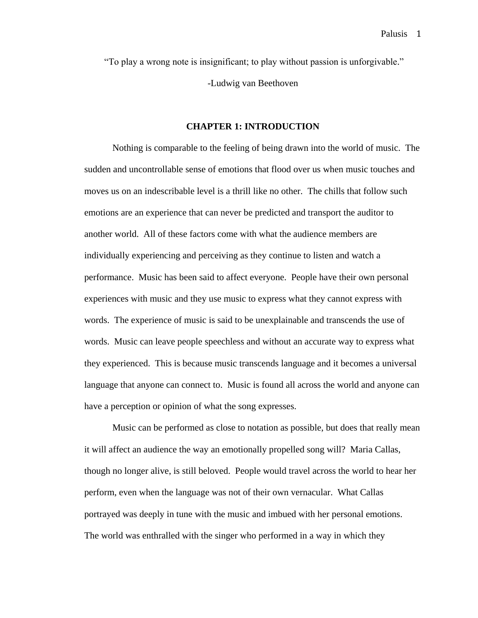"To play a wrong note is insignificant; to play without passion is unforgivable." -Ludwig van Beethoven

#### **CHAPTER 1: INTRODUCTION**

Nothing is comparable to the feeling of being drawn into the world of music. The sudden and uncontrollable sense of emotions that flood over us when music touches and moves us on an indescribable level is a thrill like no other. The chills that follow such emotions are an experience that can never be predicted and transport the auditor to another world. All of these factors come with what the audience members are individually experiencing and perceiving as they continue to listen and watch a performance. Music has been said to affect everyone. People have their own personal experiences with music and they use music to express what they cannot express with words. The experience of music is said to be unexplainable and transcends the use of words. Music can leave people speechless and without an accurate way to express what they experienced. This is because music transcends language and it becomes a universal language that anyone can connect to. Music is found all across the world and anyone can have a perception or opinion of what the song expresses.

Music can be performed as close to notation as possible, but does that really mean it will affect an audience the way an emotionally propelled song will? Maria Callas, though no longer alive, is still beloved. People would travel across the world to hear her perform, even when the language was not of their own vernacular. What Callas portrayed was deeply in tune with the music and imbued with her personal emotions. The world was enthralled with the singer who performed in a way in which they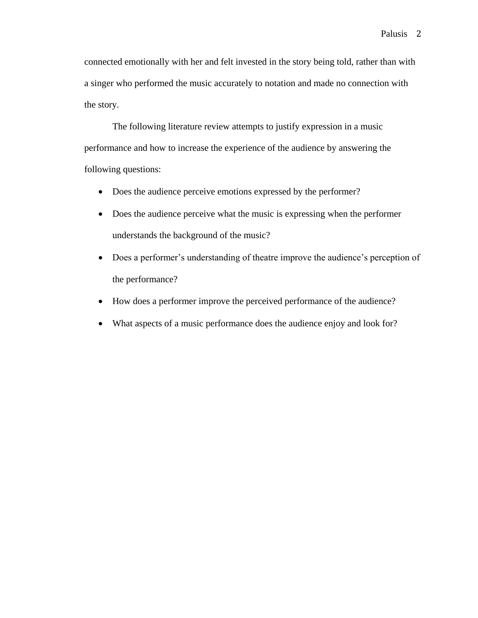connected emotionally with her and felt invested in the story being told, rather than with a singer who performed the music accurately to notation and made no connection with the story.

The following literature review attempts to justify expression in a music performance and how to increase the experience of the audience by answering the following questions:

- Does the audience perceive emotions expressed by the performer?
- Does the audience perceive what the music is expressing when the performer understands the background of the music?
- Does a performer's understanding of theatre improve the audience's perception of the performance?
- How does a performer improve the perceived performance of the audience?
- What aspects of a music performance does the audience enjoy and look for?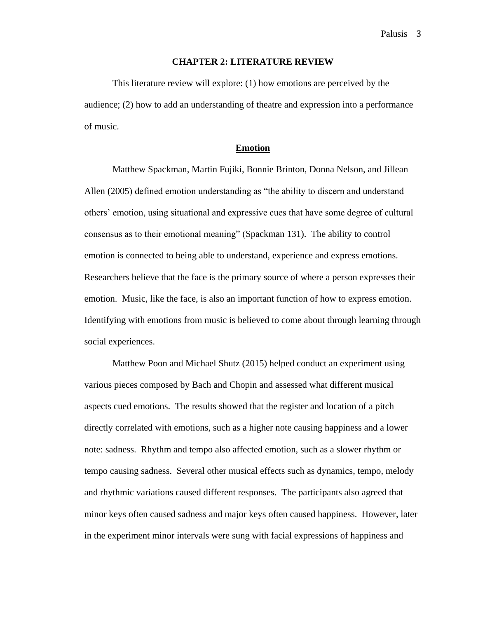#### **CHAPTER 2: LITERATURE REVIEW**

This literature review will explore: (1) how emotions are perceived by the audience; (2) how to add an understanding of theatre and expression into a performance of music.

#### **Emotion**

Matthew Spackman, Martin Fujiki, Bonnie Brinton, Donna Nelson, and Jillean Allen (2005) defined emotion understanding as "the ability to discern and understand others' emotion, using situational and expressive cues that have some degree of cultural consensus as to their emotional meaning" (Spackman 131). The ability to control emotion is connected to being able to understand, experience and express emotions. Researchers believe that the face is the primary source of where a person expresses their emotion. Music, like the face, is also an important function of how to express emotion. Identifying with emotions from music is believed to come about through learning through social experiences.

Matthew Poon and Michael Shutz (2015) helped conduct an experiment using various pieces composed by Bach and Chopin and assessed what different musical aspects cued emotions. The results showed that the register and location of a pitch directly correlated with emotions, such as a higher note causing happiness and a lower note: sadness. Rhythm and tempo also affected emotion, such as a slower rhythm or tempo causing sadness. Several other musical effects such as dynamics, tempo, melody and rhythmic variations caused different responses. The participants also agreed that minor keys often caused sadness and major keys often caused happiness. However, later in the experiment minor intervals were sung with facial expressions of happiness and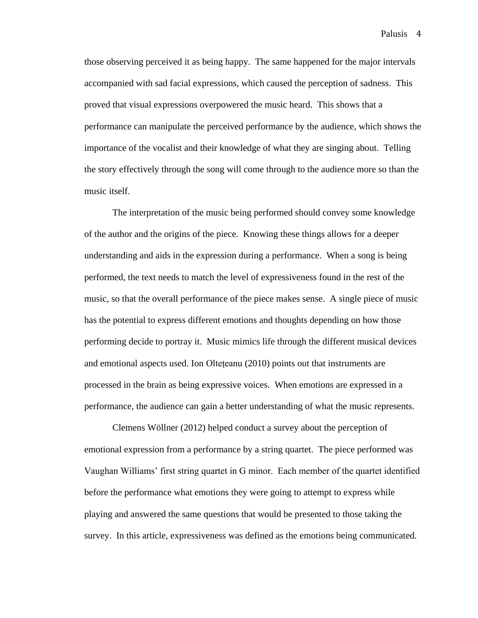those observing perceived it as being happy. The same happened for the major intervals accompanied with sad facial expressions, which caused the perception of sadness. This proved that visual expressions overpowered the music heard. This shows that a performance can manipulate the perceived performance by the audience, which shows the importance of the vocalist and their knowledge of what they are singing about. Telling the story effectively through the song will come through to the audience more so than the music itself.

The interpretation of the music being performed should convey some knowledge of the author and the origins of the piece. Knowing these things allows for a deeper understanding and aids in the expression during a performance. When a song is being performed, the text needs to match the level of expressiveness found in the rest of the music, so that the overall performance of the piece makes sense. A single piece of music has the potential to express different emotions and thoughts depending on how those performing decide to portray it. Music mimics life through the different musical devices and emotional aspects used. Ion Olteţeanu (2010) points out that instruments are processed in the brain as being expressive voices. When emotions are expressed in a performance, the audience can gain a better understanding of what the music represents.

Clemens Wöllner (2012) helped conduct a survey about the perception of emotional expression from a performance by a string quartet. The piece performed was Vaughan Williams' first string quartet in G minor. Each member of the quartet identified before the performance what emotions they were going to attempt to express while playing and answered the same questions that would be presented to those taking the survey. In this article, expressiveness was defined as the emotions being communicated.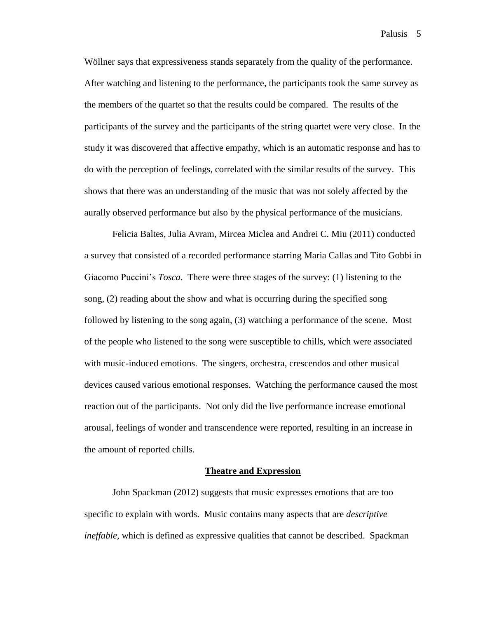Wöllner says that expressiveness stands separately from the quality of the performance. After watching and listening to the performance, the participants took the same survey as the members of the quartet so that the results could be compared. The results of the participants of the survey and the participants of the string quartet were very close. In the study it was discovered that affective empathy, which is an automatic response and has to do with the perception of feelings, correlated with the similar results of the survey. This shows that there was an understanding of the music that was not solely affected by the aurally observed performance but also by the physical performance of the musicians.

Felicia Baltes, Julia Avram, Mircea Miclea and Andrei C. Miu (2011) conducted a survey that consisted of a recorded performance starring Maria Callas and Tito Gobbi in Giacomo Puccini's *Tosca*. There were three stages of the survey: (1) listening to the song, (2) reading about the show and what is occurring during the specified song followed by listening to the song again, (3) watching a performance of the scene. Most of the people who listened to the song were susceptible to chills, which were associated with music-induced emotions. The singers, orchestra, crescendos and other musical devices caused various emotional responses. Watching the performance caused the most reaction out of the participants. Not only did the live performance increase emotional arousal, feelings of wonder and transcendence were reported, resulting in an increase in the amount of reported chills.

#### **Theatre and Expression**

John Spackman (2012) suggests that music expresses emotions that are too specific to explain with words. Music contains many aspects that are *descriptive ineffable,* which is defined as expressive qualities that cannot be described. Spackman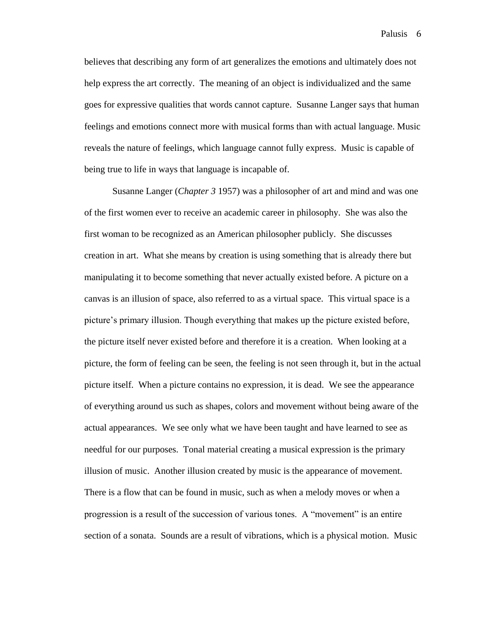believes that describing any form of art generalizes the emotions and ultimately does not help express the art correctly. The meaning of an object is individualized and the same goes for expressive qualities that words cannot capture. Susanne Langer says that human feelings and emotions connect more with musical forms than with actual language. Music reveals the nature of feelings, which language cannot fully express. Music is capable of being true to life in ways that language is incapable of.

Susanne Langer (*Chapter 3* 1957) was a philosopher of art and mind and was one of the first women ever to receive an academic career in philosophy. She was also the first woman to be recognized as an American philosopher publicly. She discusses creation in art. What she means by creation is using something that is already there but manipulating it to become something that never actually existed before. A picture on a canvas is an illusion of space, also referred to as a virtual space. This virtual space is a picture's primary illusion. Though everything that makes up the picture existed before, the picture itself never existed before and therefore it is a creation. When looking at a picture, the form of feeling can be seen, the feeling is not seen through it, but in the actual picture itself. When a picture contains no expression, it is dead. We see the appearance of everything around us such as shapes, colors and movement without being aware of the actual appearances. We see only what we have been taught and have learned to see as needful for our purposes. Tonal material creating a musical expression is the primary illusion of music. Another illusion created by music is the appearance of movement. There is a flow that can be found in music, such as when a melody moves or when a progression is a result of the succession of various tones. A "movement" is an entire section of a sonata. Sounds are a result of vibrations, which is a physical motion. Music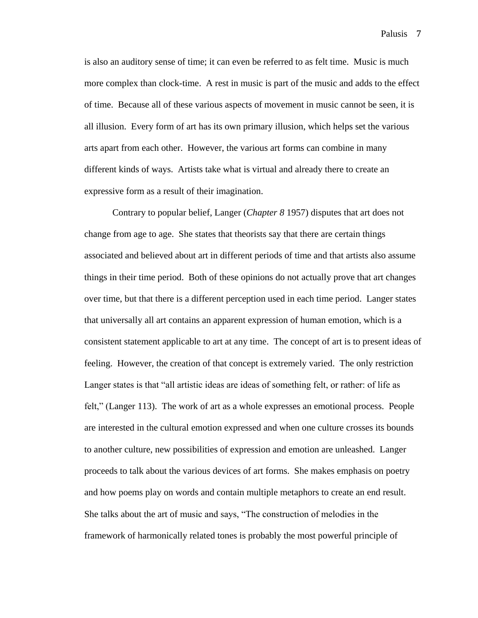is also an auditory sense of time; it can even be referred to as felt time. Music is much more complex than clock-time. A rest in music is part of the music and adds to the effect of time. Because all of these various aspects of movement in music cannot be seen, it is all illusion. Every form of art has its own primary illusion, which helps set the various arts apart from each other. However, the various art forms can combine in many different kinds of ways. Artists take what is virtual and already there to create an expressive form as a result of their imagination.

Contrary to popular belief, Langer (*Chapter 8* 1957) disputes that art does not change from age to age. She states that theorists say that there are certain things associated and believed about art in different periods of time and that artists also assume things in their time period. Both of these opinions do not actually prove that art changes over time, but that there is a different perception used in each time period. Langer states that universally all art contains an apparent expression of human emotion, which is a consistent statement applicable to art at any time. The concept of art is to present ideas of feeling. However, the creation of that concept is extremely varied. The only restriction Langer states is that "all artistic ideas are ideas of something felt, or rather: of life as felt," (Langer 113). The work of art as a whole expresses an emotional process. People are interested in the cultural emotion expressed and when one culture crosses its bounds to another culture, new possibilities of expression and emotion are unleashed. Langer proceeds to talk about the various devices of art forms. She makes emphasis on poetry and how poems play on words and contain multiple metaphors to create an end result. She talks about the art of music and says, "The construction of melodies in the framework of harmonically related tones is probably the most powerful principle of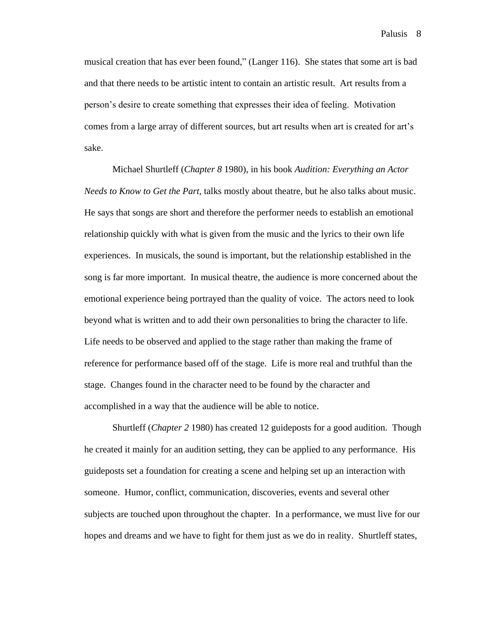musical creation that has ever been found," (Langer 116). She states that some art is bad and that there needs to be artistic intent to contain an artistic result. Art results from a person's desire to create something that expresses their idea of feeling. Motivation comes from a large array of different sources, but art results when art is created for art's sake.

Michael Shurtleff (*Chapter 8* 1980), in his book *Audition: Everything an Actor Needs to Know to Get the Part*, talks mostly about theatre, but he also talks about music. He says that songs are short and therefore the performer needs to establish an emotional relationship quickly with what is given from the music and the lyrics to their own life experiences. In musicals, the sound is important, but the relationship established in the song is far more important. In musical theatre, the audience is more concerned about the emotional experience being portrayed than the quality of voice. The actors need to look beyond what is written and to add their own personalities to bring the character to life. Life needs to be observed and applied to the stage rather than making the frame of reference for performance based off of the stage. Life is more real and truthful than the stage. Changes found in the character need to be found by the character and accomplished in a way that the audience will be able to notice.

Shurtleff (*Chapter 2* 1980) has created 12 guideposts for a good audition. Though he created it mainly for an audition setting, they can be applied to any performance. His guideposts set a foundation for creating a scene and helping set up an interaction with someone. Humor, conflict, communication, discoveries, events and several other subjects are touched upon throughout the chapter. In a performance, we must live for our hopes and dreams and we have to fight for them just as we do in reality. Shurtleff states,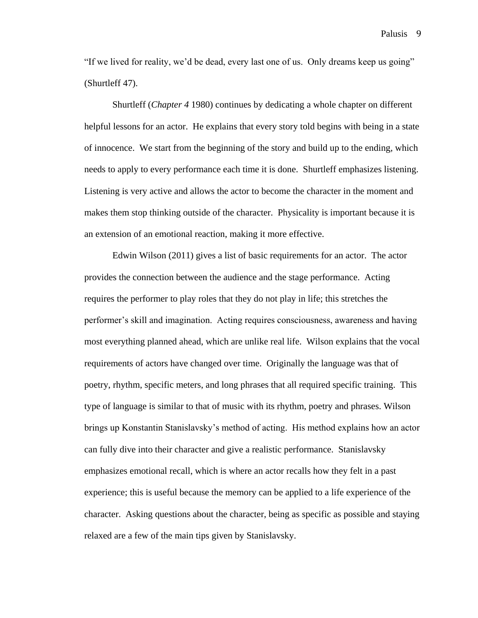Palusis<sub>9</sub>

"If we lived for reality, we'd be dead, every last one of us. Only dreams keep us going" (Shurtleff 47).

Shurtleff (*Chapter 4* 1980) continues by dedicating a whole chapter on different helpful lessons for an actor. He explains that every story told begins with being in a state of innocence. We start from the beginning of the story and build up to the ending, which needs to apply to every performance each time it is done. Shurtleff emphasizes listening. Listening is very active and allows the actor to become the character in the moment and makes them stop thinking outside of the character. Physicality is important because it is an extension of an emotional reaction, making it more effective.

Edwin Wilson (2011) gives a list of basic requirements for an actor. The actor provides the connection between the audience and the stage performance. Acting requires the performer to play roles that they do not play in life; this stretches the performer's skill and imagination. Acting requires consciousness, awareness and having most everything planned ahead, which are unlike real life. Wilson explains that the vocal requirements of actors have changed over time. Originally the language was that of poetry, rhythm, specific meters, and long phrases that all required specific training. This type of language is similar to that of music with its rhythm, poetry and phrases. Wilson brings up Konstantin Stanislavsky's method of acting. His method explains how an actor can fully dive into their character and give a realistic performance. Stanislavsky emphasizes emotional recall, which is where an actor recalls how they felt in a past experience; this is useful because the memory can be applied to a life experience of the character. Asking questions about the character, being as specific as possible and staying relaxed are a few of the main tips given by Stanislavsky.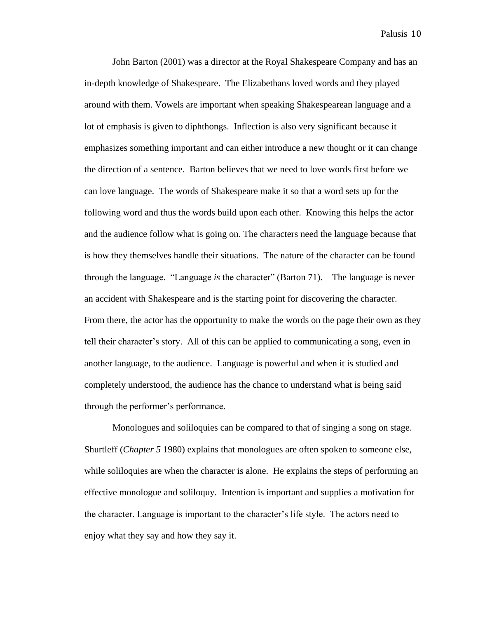John Barton (2001) was a director at the Royal Shakespeare Company and has an in-depth knowledge of Shakespeare. The Elizabethans loved words and they played around with them. Vowels are important when speaking Shakespearean language and a lot of emphasis is given to diphthongs. Inflection is also very significant because it emphasizes something important and can either introduce a new thought or it can change the direction of a sentence. Barton believes that we need to love words first before we can love language. The words of Shakespeare make it so that a word sets up for the following word and thus the words build upon each other. Knowing this helps the actor and the audience follow what is going on. The characters need the language because that is how they themselves handle their situations. The nature of the character can be found through the language. "Language *is* the character" (Barton 71). The language is never an accident with Shakespeare and is the starting point for discovering the character. From there, the actor has the opportunity to make the words on the page their own as they tell their character's story. All of this can be applied to communicating a song, even in another language, to the audience. Language is powerful and when it is studied and completely understood, the audience has the chance to understand what is being said through the performer's performance.

Monologues and soliloquies can be compared to that of singing a song on stage. Shurtleff (*Chapter 5* 1980) explains that monologues are often spoken to someone else, while soliloquies are when the character is alone. He explains the steps of performing an effective monologue and soliloquy. Intention is important and supplies a motivation for the character. Language is important to the character's life style. The actors need to enjoy what they say and how they say it.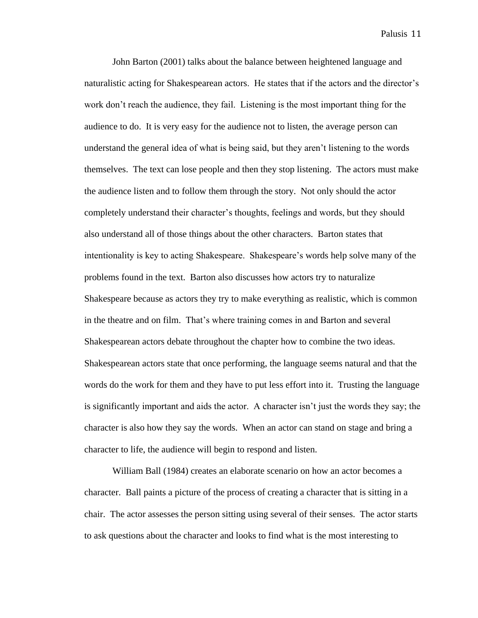John Barton (2001) talks about the balance between heightened language and naturalistic acting for Shakespearean actors. He states that if the actors and the director's work don't reach the audience, they fail. Listening is the most important thing for the audience to do. It is very easy for the audience not to listen, the average person can understand the general idea of what is being said, but they aren't listening to the words themselves. The text can lose people and then they stop listening. The actors must make the audience listen and to follow them through the story. Not only should the actor completely understand their character's thoughts, feelings and words, but they should also understand all of those things about the other characters. Barton states that intentionality is key to acting Shakespeare. Shakespeare's words help solve many of the problems found in the text. Barton also discusses how actors try to naturalize Shakespeare because as actors they try to make everything as realistic, which is common in the theatre and on film. That's where training comes in and Barton and several Shakespearean actors debate throughout the chapter how to combine the two ideas. Shakespearean actors state that once performing, the language seems natural and that the words do the work for them and they have to put less effort into it. Trusting the language is significantly important and aids the actor. A character isn't just the words they say; the character is also how they say the words. When an actor can stand on stage and bring a character to life, the audience will begin to respond and listen.

William Ball (1984) creates an elaborate scenario on how an actor becomes a character. Ball paints a picture of the process of creating a character that is sitting in a chair. The actor assesses the person sitting using several of their senses. The actor starts to ask questions about the character and looks to find what is the most interesting to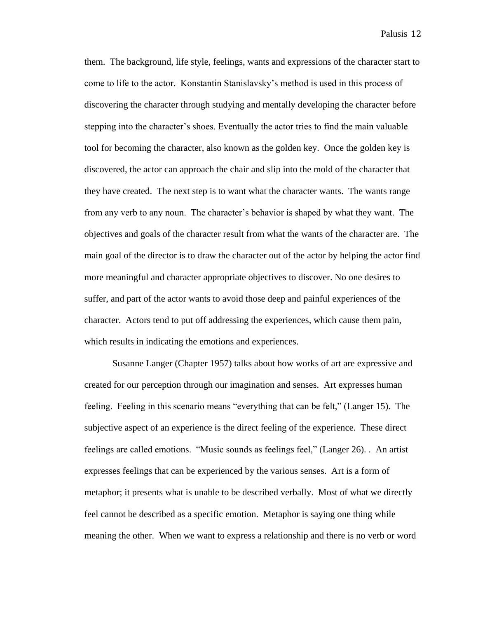them. The background, life style, feelings, wants and expressions of the character start to come to life to the actor. Konstantin Stanislavsky's method is used in this process of discovering the character through studying and mentally developing the character before stepping into the character's shoes. Eventually the actor tries to find the main valuable tool for becoming the character, also known as the golden key. Once the golden key is discovered, the actor can approach the chair and slip into the mold of the character that they have created. The next step is to want what the character wants. The wants range from any verb to any noun. The character's behavior is shaped by what they want. The objectives and goals of the character result from what the wants of the character are. The main goal of the director is to draw the character out of the actor by helping the actor find more meaningful and character appropriate objectives to discover. No one desires to suffer, and part of the actor wants to avoid those deep and painful experiences of the character. Actors tend to put off addressing the experiences, which cause them pain, which results in indicating the emotions and experiences.

Susanne Langer (Chapter 1957) talks about how works of art are expressive and created for our perception through our imagination and senses. Art expresses human feeling. Feeling in this scenario means "everything that can be felt," (Langer 15). The subjective aspect of an experience is the direct feeling of the experience. These direct feelings are called emotions. "Music sounds as feelings feel," (Langer 26). . An artist expresses feelings that can be experienced by the various senses. Art is a form of metaphor; it presents what is unable to be described verbally. Most of what we directly feel cannot be described as a specific emotion. Metaphor is saying one thing while meaning the other. When we want to express a relationship and there is no verb or word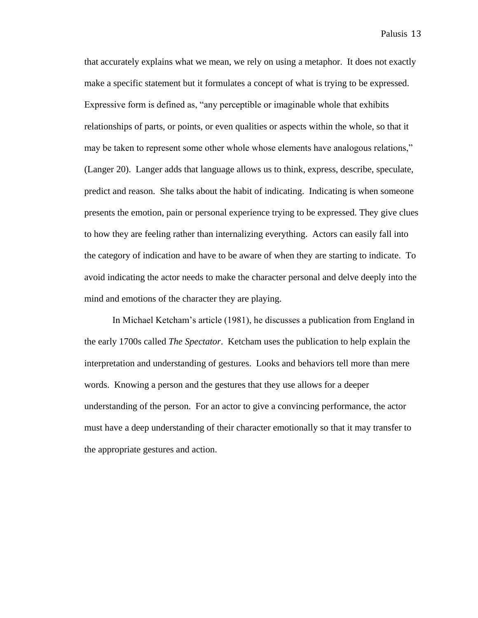that accurately explains what we mean, we rely on using a metaphor. It does not exactly make a specific statement but it formulates a concept of what is trying to be expressed. Expressive form is defined as, "any perceptible or imaginable whole that exhibits relationships of parts, or points, or even qualities or aspects within the whole, so that it may be taken to represent some other whole whose elements have analogous relations," (Langer 20). Langer adds that language allows us to think, express, describe, speculate, predict and reason. She talks about the habit of indicating. Indicating is when someone presents the emotion, pain or personal experience trying to be expressed. They give clues to how they are feeling rather than internalizing everything. Actors can easily fall into the category of indication and have to be aware of when they are starting to indicate. To avoid indicating the actor needs to make the character personal and delve deeply into the mind and emotions of the character they are playing.

In Michael Ketcham's article (1981), he discusses a publication from England in the early 1700s called *The Spectator*. Ketcham uses the publication to help explain the interpretation and understanding of gestures. Looks and behaviors tell more than mere words. Knowing a person and the gestures that they use allows for a deeper understanding of the person. For an actor to give a convincing performance, the actor must have a deep understanding of their character emotionally so that it may transfer to the appropriate gestures and action.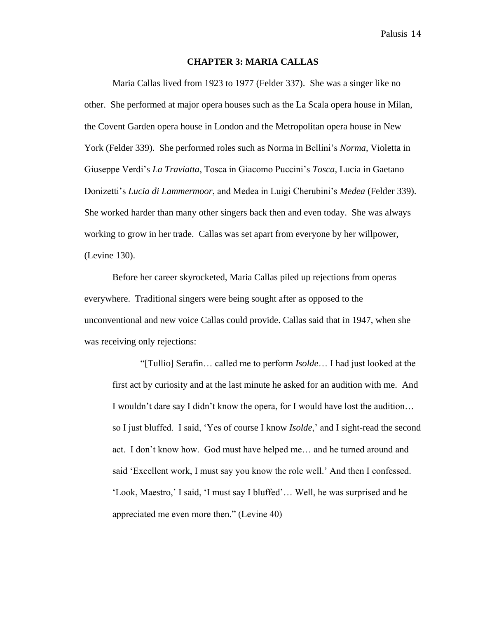#### **CHAPTER 3: MARIA CALLAS**

Maria Callas lived from 1923 to 1977 (Felder 337). She was a singer like no other. She performed at major opera houses such as the La Scala opera house in Milan, the Covent Garden opera house in London and the Metropolitan opera house in New York (Felder 339). She performed roles such as Norma in Bellini's *Norma*, Violetta in Giuseppe Verdi's *La Traviatta*, Tosca in Giacomo Puccini's *Tosca*, Lucia in Gaetano Donizetti's *Lucia di Lammermoor*, and Medea in Luigi Cherubini's *Medea* (Felder 339). She worked harder than many other singers back then and even today. She was always working to grow in her trade. Callas was set apart from everyone by her willpower, (Levine 130).

Before her career skyrocketed, Maria Callas piled up rejections from operas everywhere. Traditional singers were being sought after as opposed to the unconventional and new voice Callas could provide. Callas said that in 1947, when she was receiving only rejections:

"[Tullio] Serafin… called me to perform *Isolde*… I had just looked at the first act by curiosity and at the last minute he asked for an audition with me. And I wouldn't dare say I didn't know the opera, for I would have lost the audition… so I just bluffed. I said, 'Yes of course I know *Isolde*,' and I sight-read the second act. I don't know how. God must have helped me… and he turned around and said 'Excellent work, I must say you know the role well.' And then I confessed. 'Look, Maestro,' I said, 'I must say I bluffed'… Well, he was surprised and he appreciated me even more then." (Levine 40)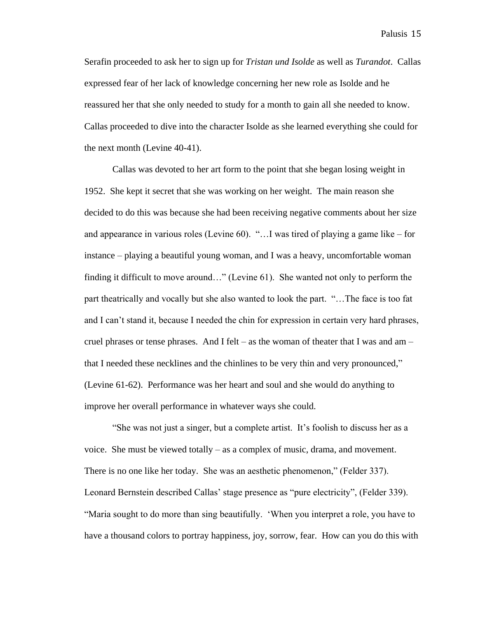Serafin proceeded to ask her to sign up for *Tristan und Isolde* as well as *Turandot*. Callas expressed fear of her lack of knowledge concerning her new role as Isolde and he reassured her that she only needed to study for a month to gain all she needed to know. Callas proceeded to dive into the character Isolde as she learned everything she could for the next month (Levine 40-41).

Callas was devoted to her art form to the point that she began losing weight in 1952. She kept it secret that she was working on her weight. The main reason she decided to do this was because she had been receiving negative comments about her size and appearance in various roles (Levine 60). "…I was tired of playing a game like – for instance – playing a beautiful young woman, and I was a heavy, uncomfortable woman finding it difficult to move around…" (Levine 61). She wanted not only to perform the part theatrically and vocally but she also wanted to look the part. "…The face is too fat and I can't stand it, because I needed the chin for expression in certain very hard phrases, cruel phrases or tense phrases. And I felt – as the woman of theater that I was and am – that I needed these necklines and the chinlines to be very thin and very pronounced," (Levine 61-62). Performance was her heart and soul and she would do anything to improve her overall performance in whatever ways she could.

"She was not just a singer, but a complete artist. It's foolish to discuss her as a voice. She must be viewed totally – as a complex of music, drama, and movement. There is no one like her today. She was an aesthetic phenomenon," (Felder 337). Leonard Bernstein described Callas' stage presence as "pure electricity", (Felder 339). "Maria sought to do more than sing beautifully. 'When you interpret a role, you have to have a thousand colors to portray happiness, joy, sorrow, fear. How can you do this with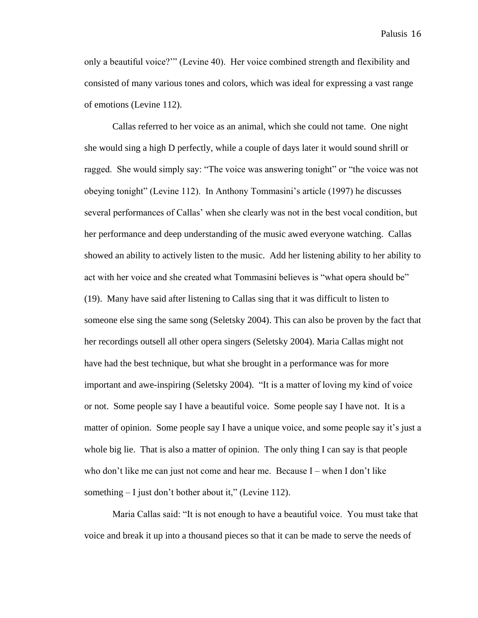only a beautiful voice?'" (Levine 40). Her voice combined strength and flexibility and consisted of many various tones and colors, which was ideal for expressing a vast range of emotions (Levine 112).

Callas referred to her voice as an animal, which she could not tame. One night she would sing a high D perfectly, while a couple of days later it would sound shrill or ragged. She would simply say: "The voice was answering tonight" or "the voice was not obeying tonight" (Levine 112). In Anthony Tommasini's article (1997) he discusses several performances of Callas' when she clearly was not in the best vocal condition, but her performance and deep understanding of the music awed everyone watching. Callas showed an ability to actively listen to the music. Add her listening ability to her ability to act with her voice and she created what Tommasini believes is "what opera should be" (19). Many have said after listening to Callas sing that it was difficult to listen to someone else sing the same song (Seletsky 2004). This can also be proven by the fact that her recordings outsell all other opera singers (Seletsky 2004). Maria Callas might not have had the best technique, but what she brought in a performance was for more important and awe-inspiring (Seletsky 2004). "It is a matter of loving my kind of voice or not. Some people say I have a beautiful voice. Some people say I have not. It is a matter of opinion. Some people say I have a unique voice, and some people say it's just a whole big lie. That is also a matter of opinion. The only thing I can say is that people who don't like me can just not come and hear me. Because I – when I don't like something  $-1$  just don't bother about it," (Levine 112).

Maria Callas said: "It is not enough to have a beautiful voice. You must take that voice and break it up into a thousand pieces so that it can be made to serve the needs of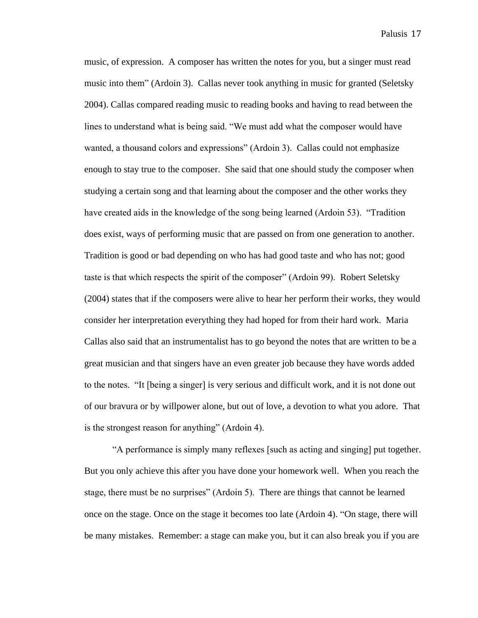music, of expression. A composer has written the notes for you, but a singer must read music into them" (Ardoin 3). Callas never took anything in music for granted (Seletsky 2004). Callas compared reading music to reading books and having to read between the lines to understand what is being said. "We must add what the composer would have wanted, a thousand colors and expressions" (Ardoin 3). Callas could not emphasize enough to stay true to the composer. She said that one should study the composer when studying a certain song and that learning about the composer and the other works they have created aids in the knowledge of the song being learned (Ardoin 53). "Tradition does exist, ways of performing music that are passed on from one generation to another. Tradition is good or bad depending on who has had good taste and who has not; good taste is that which respects the spirit of the composer" (Ardoin 99). Robert Seletsky (2004) states that if the composers were alive to hear her perform their works, they would consider her interpretation everything they had hoped for from their hard work. Maria Callas also said that an instrumentalist has to go beyond the notes that are written to be a great musician and that singers have an even greater job because they have words added to the notes. "It [being a singer] is very serious and difficult work, and it is not done out of our bravura or by willpower alone, but out of love, a devotion to what you adore. That is the strongest reason for anything" (Ardoin 4).

"A performance is simply many reflexes [such as acting and singing] put together. But you only achieve this after you have done your homework well. When you reach the stage, there must be no surprises" (Ardoin 5). There are things that cannot be learned once on the stage. Once on the stage it becomes too late (Ardoin 4). "On stage, there will be many mistakes. Remember: a stage can make you, but it can also break you if you are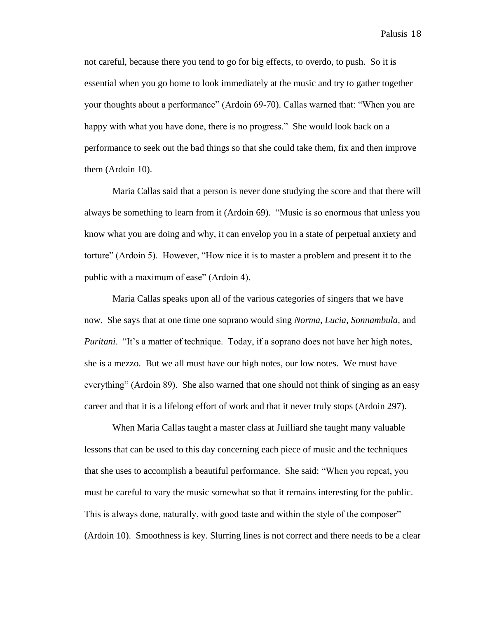not careful, because there you tend to go for big effects, to overdo, to push. So it is essential when you go home to look immediately at the music and try to gather together your thoughts about a performance" (Ardoin 69-70). Callas warned that: "When you are happy with what you have done, there is no progress." She would look back on a performance to seek out the bad things so that she could take them, fix and then improve them (Ardoin 10).

Maria Callas said that a person is never done studying the score and that there will always be something to learn from it (Ardoin 69). "Music is so enormous that unless you know what you are doing and why, it can envelop you in a state of perpetual anxiety and torture" (Ardoin 5). However, "How nice it is to master a problem and present it to the public with a maximum of ease" (Ardoin 4).

Maria Callas speaks upon all of the various categories of singers that we have now. She says that at one time one soprano would sing *Norma*, *Lucia*, *Sonnambula*, and *Puritani*. "It's a matter of technique. Today, if a soprano does not have her high notes, she is a mezzo. But we all must have our high notes, our low notes. We must have everything" (Ardoin 89). She also warned that one should not think of singing as an easy career and that it is a lifelong effort of work and that it never truly stops (Ardoin 297).

When Maria Callas taught a master class at Juilliard she taught many valuable lessons that can be used to this day concerning each piece of music and the techniques that she uses to accomplish a beautiful performance. She said: "When you repeat, you must be careful to vary the music somewhat so that it remains interesting for the public. This is always done, naturally, with good taste and within the style of the composer" (Ardoin 10). Smoothness is key. Slurring lines is not correct and there needs to be a clear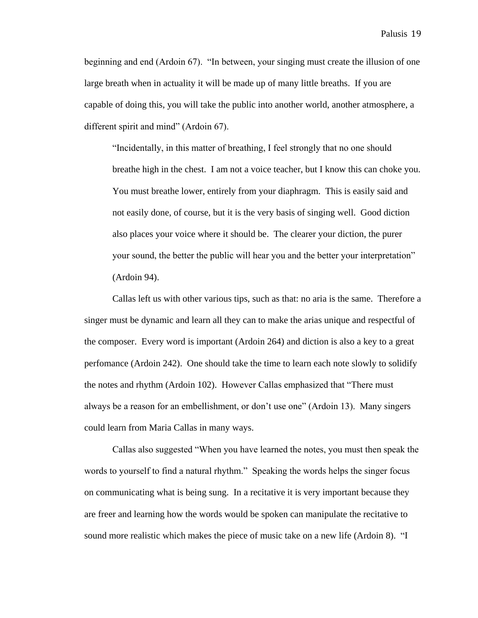beginning and end (Ardoin 67). "In between, your singing must create the illusion of one large breath when in actuality it will be made up of many little breaths. If you are capable of doing this, you will take the public into another world, another atmosphere, a different spirit and mind" (Ardoin 67).

"Incidentally, in this matter of breathing, I feel strongly that no one should breathe high in the chest. I am not a voice teacher, but I know this can choke you. You must breathe lower, entirely from your diaphragm. This is easily said and not easily done, of course, but it is the very basis of singing well. Good diction also places your voice where it should be. The clearer your diction, the purer your sound, the better the public will hear you and the better your interpretation" (Ardoin 94).

Callas left us with other various tips, such as that: no aria is the same. Therefore a singer must be dynamic and learn all they can to make the arias unique and respectful of the composer. Every word is important (Ardoin 264) and diction is also a key to a great perfomance (Ardoin 242). One should take the time to learn each note slowly to solidify the notes and rhythm (Ardoin 102). However Callas emphasized that "There must always be a reason for an embellishment, or don't use one" (Ardoin 13). Many singers could learn from Maria Callas in many ways.

Callas also suggested "When you have learned the notes, you must then speak the words to yourself to find a natural rhythm." Speaking the words helps the singer focus on communicating what is being sung. In a recitative it is very important because they are freer and learning how the words would be spoken can manipulate the recitative to sound more realistic which makes the piece of music take on a new life (Ardoin 8). "I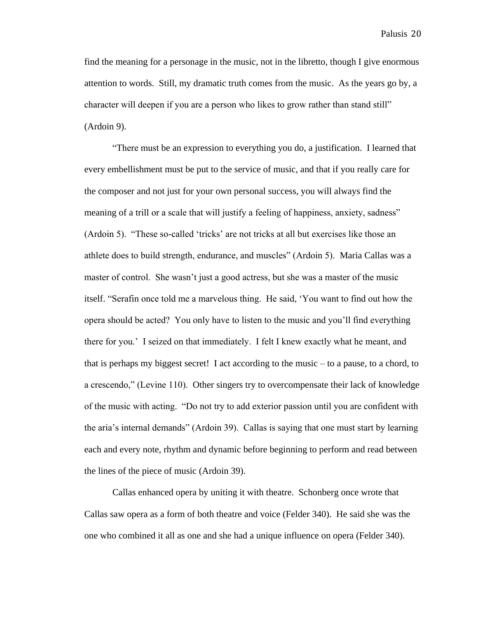find the meaning for a personage in the music, not in the libretto, though I give enormous attention to words. Still, my dramatic truth comes from the music. As the years go by, a character will deepen if you are a person who likes to grow rather than stand still" (Ardoin 9).

"There must be an expression to everything you do, a justification. I learned that every embellishment must be put to the service of music, and that if you really care for the composer and not just for your own personal success, you will always find the meaning of a trill or a scale that will justify a feeling of happiness, anxiety, sadness" (Ardoin 5). "These so-called 'tricks' are not tricks at all but exercises like those an athlete does to build strength, endurance, and muscles" (Ardoin 5). Maria Callas was a master of control. She wasn't just a good actress, but she was a master of the music itself. "Serafin once told me a marvelous thing. He said, 'You want to find out how the opera should be acted? You only have to listen to the music and you'll find everything there for you.' I seized on that immediately. I felt I knew exactly what he meant, and that is perhaps my biggest secret! I act according to the music – to a pause, to a chord, to a crescendo," (Levine 110). Other singers try to overcompensate their lack of knowledge of the music with acting. "Do not try to add exterior passion until you are confident with the aria's internal demands" (Ardoin 39). Callas is saying that one must start by learning each and every note, rhythm and dynamic before beginning to perform and read between the lines of the piece of music (Ardoin 39).

Callas enhanced opera by uniting it with theatre. Schonberg once wrote that Callas saw opera as a form of both theatre and voice (Felder 340). He said she was the one who combined it all as one and she had a unique influence on opera (Felder 340).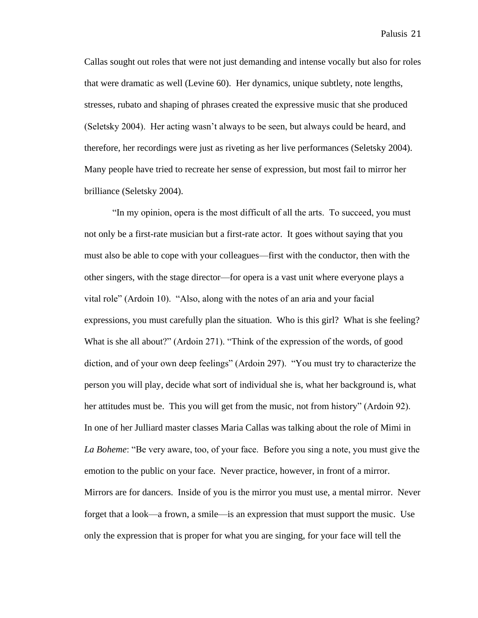Callas sought out roles that were not just demanding and intense vocally but also for roles that were dramatic as well (Levine 60). Her dynamics, unique subtlety, note lengths, stresses, rubato and shaping of phrases created the expressive music that she produced (Seletsky 2004). Her acting wasn't always to be seen, but always could be heard, and therefore, her recordings were just as riveting as her live performances (Seletsky 2004). Many people have tried to recreate her sense of expression, but most fail to mirror her brilliance (Seletsky 2004).

"In my opinion, opera is the most difficult of all the arts. To succeed, you must not only be a first-rate musician but a first-rate actor. It goes without saying that you must also be able to cope with your colleagues—first with the conductor, then with the other singers, with the stage director—for opera is a vast unit where everyone plays a vital role" (Ardoin 10). "Also, along with the notes of an aria and your facial expressions, you must carefully plan the situation. Who is this girl? What is she feeling? What is she all about?" (Ardoin 271). "Think of the expression of the words, of good diction, and of your own deep feelings" (Ardoin 297). "You must try to characterize the person you will play, decide what sort of individual she is, what her background is, what her attitudes must be. This you will get from the music, not from history" (Ardoin 92). In one of her Julliard master classes Maria Callas was talking about the role of Mimi in *La Boheme*: "Be very aware, too, of your face. Before you sing a note, you must give the emotion to the public on your face. Never practice, however, in front of a mirror. Mirrors are for dancers. Inside of you is the mirror you must use, a mental mirror. Never forget that a look—a frown, a smile—is an expression that must support the music. Use only the expression that is proper for what you are singing, for your face will tell the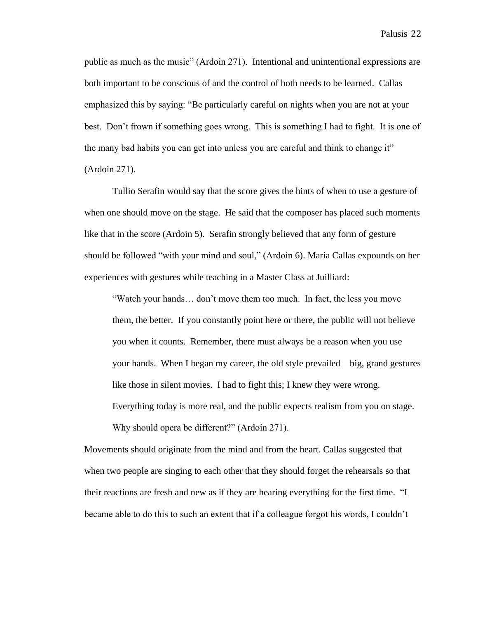public as much as the music" (Ardoin 271). Intentional and unintentional expressions are both important to be conscious of and the control of both needs to be learned. Callas emphasized this by saying: "Be particularly careful on nights when you are not at your best. Don't frown if something goes wrong. This is something I had to fight. It is one of the many bad habits you can get into unless you are careful and think to change it" (Ardoin 271).

Tullio Serafin would say that the score gives the hints of when to use a gesture of when one should move on the stage. He said that the composer has placed such moments like that in the score (Ardoin 5). Serafin strongly believed that any form of gesture should be followed "with your mind and soul," (Ardoin 6). Maria Callas expounds on her experiences with gestures while teaching in a Master Class at Juilliard:

"Watch your hands… don't move them too much. In fact, the less you move them, the better. If you constantly point here or there, the public will not believe you when it counts. Remember, there must always be a reason when you use your hands. When I began my career, the old style prevailed—big, grand gestures like those in silent movies. I had to fight this; I knew they were wrong. Everything today is more real, and the public expects realism from you on stage. Why should opera be different?" (Ardoin 271).

Movements should originate from the mind and from the heart. Callas suggested that when two people are singing to each other that they should forget the rehearsals so that their reactions are fresh and new as if they are hearing everything for the first time. "I became able to do this to such an extent that if a colleague forgot his words, I couldn't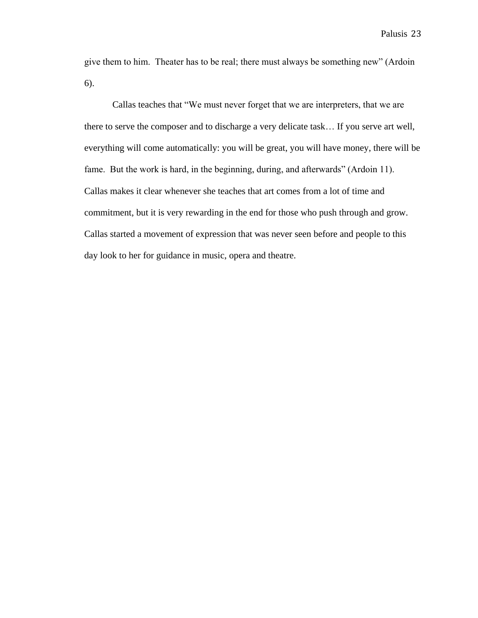give them to him. Theater has to be real; there must always be something new" (Ardoin 6).

Callas teaches that "We must never forget that we are interpreters, that we are there to serve the composer and to discharge a very delicate task… If you serve art well, everything will come automatically: you will be great, you will have money, there will be fame. But the work is hard, in the beginning, during, and afterwards" (Ardoin 11). Callas makes it clear whenever she teaches that art comes from a lot of time and commitment, but it is very rewarding in the end for those who push through and grow. Callas started a movement of expression that was never seen before and people to this day look to her for guidance in music, opera and theatre.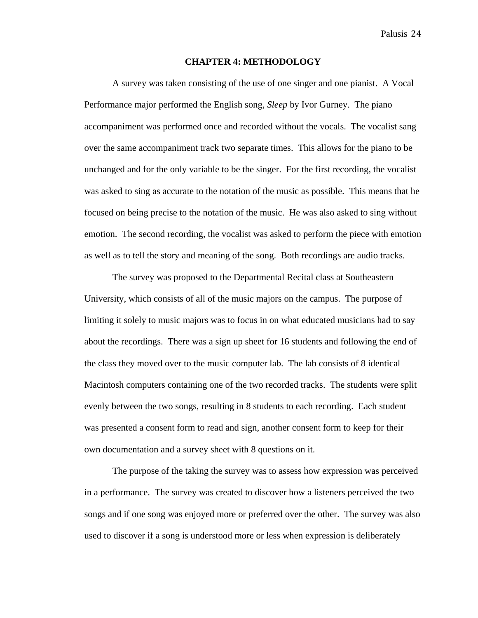#### **CHAPTER 4: METHODOLOGY**

A survey was taken consisting of the use of one singer and one pianist. A Vocal Performance major performed the English song, *Sleep* by Ivor Gurney. The piano accompaniment was performed once and recorded without the vocals. The vocalist sang over the same accompaniment track two separate times. This allows for the piano to be unchanged and for the only variable to be the singer. For the first recording, the vocalist was asked to sing as accurate to the notation of the music as possible. This means that he focused on being precise to the notation of the music. He was also asked to sing without emotion. The second recording, the vocalist was asked to perform the piece with emotion as well as to tell the story and meaning of the song. Both recordings are audio tracks.

The survey was proposed to the Departmental Recital class at Southeastern University, which consists of all of the music majors on the campus. The purpose of limiting it solely to music majors was to focus in on what educated musicians had to say about the recordings. There was a sign up sheet for 16 students and following the end of the class they moved over to the music computer lab. The lab consists of 8 identical Macintosh computers containing one of the two recorded tracks. The students were split evenly between the two songs, resulting in 8 students to each recording. Each student was presented a consent form to read and sign, another consent form to keep for their own documentation and a survey sheet with 8 questions on it.

The purpose of the taking the survey was to assess how expression was perceived in a performance. The survey was created to discover how a listeners perceived the two songs and if one song was enjoyed more or preferred over the other. The survey was also used to discover if a song is understood more or less when expression is deliberately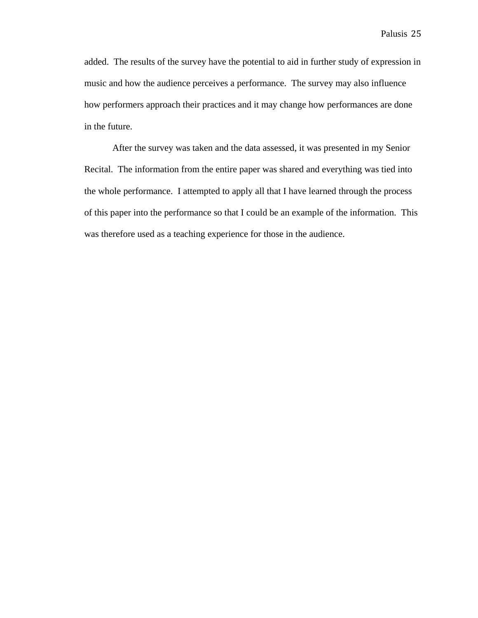added. The results of the survey have the potential to aid in further study of expression in music and how the audience perceives a performance. The survey may also influence how performers approach their practices and it may change how performances are done in the future.

After the survey was taken and the data assessed, it was presented in my Senior Recital. The information from the entire paper was shared and everything was tied into the whole performance. I attempted to apply all that I have learned through the process of this paper into the performance so that I could be an example of the information. This was therefore used as a teaching experience for those in the audience.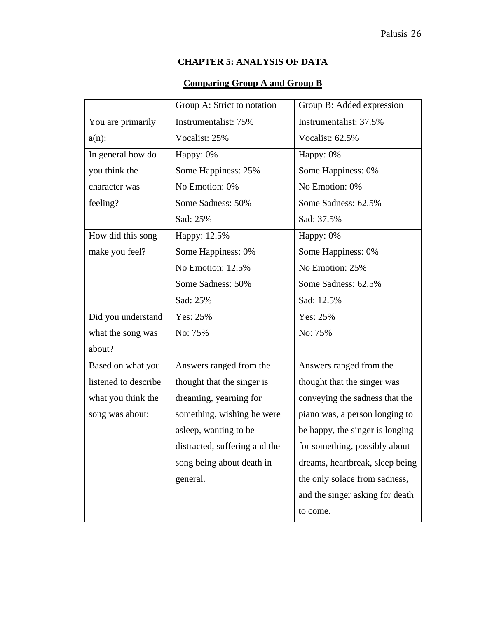# **CHAPTER 5: ANALYSIS OF DATA**

# **Comparing Group A and Group B**

| Group A: Strict to notation   | Group B: Added expression       |
|-------------------------------|---------------------------------|
| Instrumentalist: 75%          | Instrumentalist: 37.5%          |
| Vocalist: 25%                 | Vocalist: 62.5%                 |
| Happy: 0%                     | Happy: 0%                       |
| Some Happiness: 25%           | Some Happiness: 0%              |
| No Emotion: 0%                | No Emotion: 0%                  |
| Some Sadness: 50%             | Some Sadness: 62.5%             |
| Sad: 25%                      | Sad: 37.5%                      |
| Happy: 12.5%                  | Happy: 0%                       |
| Some Happiness: 0%            | Some Happiness: 0%              |
| No Emotion: 12.5%             | No Emotion: 25%                 |
| Some Sadness: 50%             | Some Sadness: 62.5%             |
| Sad: 25%                      | Sad: 12.5%                      |
| Yes: 25%                      | Yes: 25%                        |
| No: 75%                       | No: 75%                         |
|                               |                                 |
| Answers ranged from the       | Answers ranged from the         |
| thought that the singer is    | thought that the singer was     |
| dreaming, yearning for        | conveying the sadness that the  |
| something, wishing he were    | piano was, a person longing to  |
| asleep, wanting to be         | be happy, the singer is longing |
| distracted, suffering and the | for something, possibly about   |
| song being about death in     | dreams, heartbreak, sleep being |
|                               |                                 |
| general.                      | the only solace from sadness,   |
|                               | and the singer asking for death |
|                               |                                 |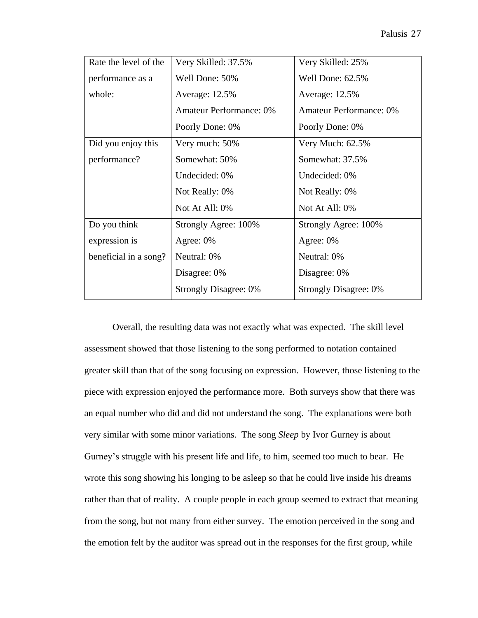| Rate the level of the | Very Skilled: 37.5%            | Very Skilled: 25%              |
|-----------------------|--------------------------------|--------------------------------|
| performance as a      | Well Done: 50%                 | Well Done: 62.5%               |
| whole:                | Average: 12.5%                 | Average: 12.5%                 |
|                       | <b>Amateur Performance: 0%</b> | <b>Amateur Performance: 0%</b> |
|                       | Poorly Done: 0%                | Poorly Done: 0%                |
| Did you enjoy this    | Very much: 50%                 | Very Much: 62.5%               |
| performance?          | Somewhat: 50%                  | Somewhat: 37.5%                |
|                       | Undecided: 0%                  | Undecided: 0%                  |
|                       | Not Really: 0%                 | Not Really: 0%                 |
|                       | Not At All: 0%                 | Not At All: 0%                 |
| Do you think          | Strongly Agree: 100%           | Strongly Agree: 100%           |
| expression is         | Agree: 0%                      | Agree: 0%                      |
| beneficial in a song? | Neutral: 0%                    | Neutral: 0%                    |
|                       | Disagree: 0%                   | Disagree: 0%                   |
|                       | <b>Strongly Disagree: 0%</b>   | <b>Strongly Disagree: 0%</b>   |

Overall, the resulting data was not exactly what was expected. The skill level assessment showed that those listening to the song performed to notation contained greater skill than that of the song focusing on expression. However, those listening to the piece with expression enjoyed the performance more. Both surveys show that there was an equal number who did and did not understand the song. The explanations were both very similar with some minor variations. The song *Sleep* by Ivor Gurney is about Gurney's struggle with his present life and life, to him, seemed too much to bear. He wrote this song showing his longing to be asleep so that he could live inside his dreams rather than that of reality. A couple people in each group seemed to extract that meaning from the song, but not many from either survey. The emotion perceived in the song and the emotion felt by the auditor was spread out in the responses for the first group, while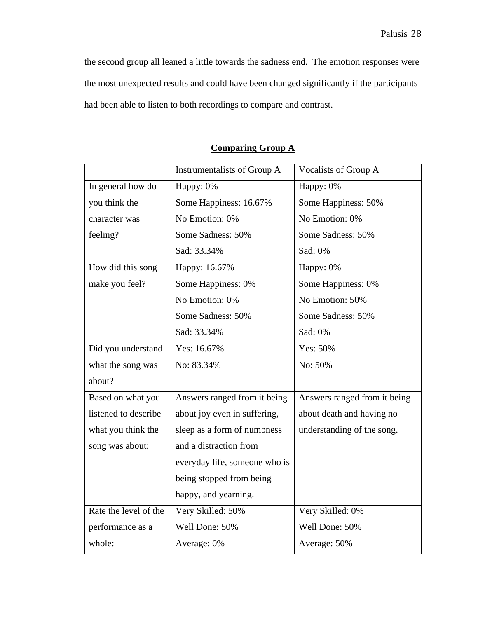the second group all leaned a little towards the sadness end. The emotion responses were the most unexpected results and could have been changed significantly if the participants had been able to listen to both recordings to compare and contrast.

|                       | Instrumentalists of Group A   | Vocalists of Group A         |
|-----------------------|-------------------------------|------------------------------|
| In general how do     | Happy: 0%                     | Happy: 0%                    |
| you think the         | Some Happiness: 16.67%        | Some Happiness: 50%          |
| character was         | No Emotion: 0%                | No Emotion: 0%               |
| feeling?              | Some Sadness: 50%             | Some Sadness: 50%            |
|                       | Sad: 33.34%                   | Sad: 0%                      |
| How did this song     | Happy: 16.67%                 | Happy: 0%                    |
| make you feel?        | Some Happiness: 0%            | Some Happiness: 0%           |
|                       | No Emotion: 0%                | No Emotion: 50%              |
|                       | Some Sadness: 50%             | Some Sadness: 50%            |
|                       | Sad: 33.34%                   | Sad: 0%                      |
| Did you understand    | Yes: $16.67%$                 | Yes: 50%                     |
| what the song was     | No: 83.34%                    | No: 50%                      |
| about?                |                               |                              |
| Based on what you     | Answers ranged from it being  | Answers ranged from it being |
| listened to describe  | about joy even in suffering,  | about death and having no    |
| what you think the    | sleep as a form of numbness   | understanding of the song.   |
| song was about:       | and a distraction from        |                              |
|                       | everyday life, someone who is |                              |
|                       | being stopped from being      |                              |
|                       | happy, and yearning.          |                              |
| Rate the level of the | Very Skilled: 50%             | Very Skilled: 0%             |
| performance as a      | Well Done: 50%                | Well Done: 50%               |
| whole:                | Average: 0%                   | Average: 50%                 |

# **Comparing Group A**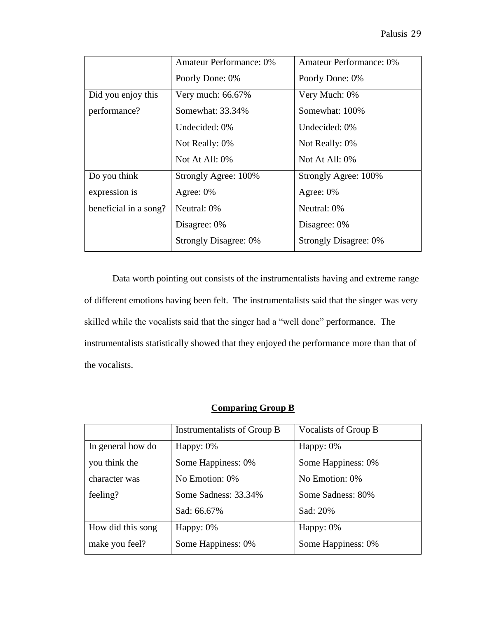|                       | <b>Amateur Performance: 0%</b> | <b>Amateur Performance: 0%</b> |
|-----------------------|--------------------------------|--------------------------------|
|                       | Poorly Done: 0%                | Poorly Done: 0%                |
| Did you enjoy this    | Very much: $66.67\%$           | Very Much: 0%                  |
| performance?          | Somewhat: 33.34%               | Somewhat: 100%                 |
|                       | Undecided: 0%                  | Undecided: 0%                  |
|                       | Not Really: 0%                 | Not Really: 0%                 |
|                       | Not At All: 0%                 | Not At All: $0\%$              |
| Do you think          | Strongly Agree: 100%           | Strongly Agree: 100%           |
| expression is         | Agree: $0\%$                   | Agree: $0\%$                   |
| beneficial in a song? | Neutral: 0%                    | Neutral: 0%                    |
|                       | Disagree: 0%                   | Disagree: 0%                   |
|                       | <b>Strongly Disagree: 0%</b>   | <b>Strongly Disagree: 0%</b>   |

Data worth pointing out consists of the instrumentalists having and extreme range of different emotions having been felt. The instrumentalists said that the singer was very skilled while the vocalists said that the singer had a "well done" performance. The instrumentalists statistically showed that they enjoyed the performance more than that of the vocalists.

### **Comparing Group B**

|                   | Instrumentalists of Group B | Vocalists of Group B |
|-------------------|-----------------------------|----------------------|
| In general how do | Happy: $0\%$                | Happy: $0\%$         |
| you think the     | Some Happiness: 0%          | Some Happiness: 0%   |
| character was     | No Emotion: 0%              | No Emotion: 0%       |
| feeling?          | Some Sadness: 33.34%        | Some Sadness: 80%    |
|                   | Sad: 66.67%                 | Sad: 20%             |
| How did this song | Happy: $0\%$                | Happy: $0\%$         |
| make you feel?    | Some Happiness: 0%          | Some Happiness: 0%   |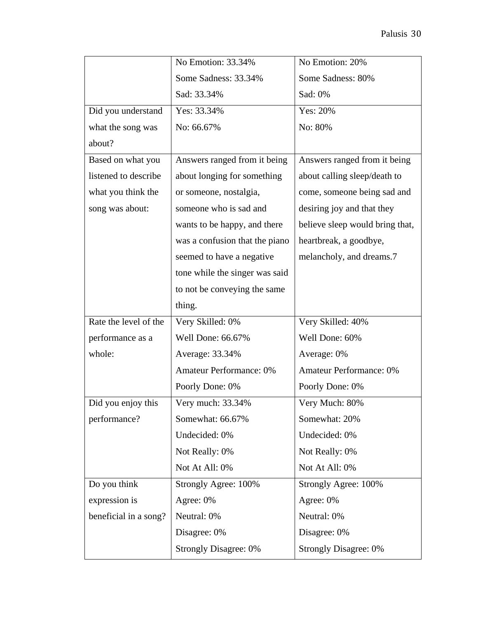|                       | No Emotion: 33.34%             | No Emotion: 20%                 |
|-----------------------|--------------------------------|---------------------------------|
|                       | Some Sadness: 33.34%           | Some Sadness: 80%               |
|                       | Sad: 33.34%                    | Sad: 0%                         |
| Did you understand    | Yes: 33.34%                    | Yes: 20%                        |
| what the song was     | No: 66.67%                     | No: 80%                         |
| about?                |                                |                                 |
| Based on what you     | Answers ranged from it being   | Answers ranged from it being    |
| listened to describe  | about longing for something    | about calling sleep/death to    |
| what you think the    | or someone, nostalgia,         | come, someone being sad and     |
| song was about:       | someone who is sad and         | desiring joy and that they      |
|                       | wants to be happy, and there   | believe sleep would bring that, |
|                       | was a confusion that the piano | heartbreak, a goodbye,          |
|                       | seemed to have a negative      | melancholy, and dreams.7        |
|                       | tone while the singer was said |                                 |
|                       | to not be conveying the same   |                                 |
|                       | thing.                         |                                 |
| Rate the level of the | Very Skilled: 0%               | Very Skilled: 40%               |
| performance as a      | Well Done: 66.67%              | Well Done: 60%                  |
| whole:                | Average: 33.34%                | Average: 0%                     |
|                       | <b>Amateur Performance: 0%</b> | <b>Amateur Performance: 0%</b>  |
|                       | Poorly Done: 0%                | Poorly Done: 0%                 |
| Did you enjoy this    | Very much: 33.34%              | Very Much: 80%                  |
| performance?          | Somewhat: 66.67%               | Somewhat: 20%                   |
|                       | Undecided: 0%                  | Undecided: 0%                   |
|                       | Not Really: 0%                 | Not Really: 0%                  |
|                       | Not At All: 0%                 | Not At All: 0%                  |
| Do you think          | Strongly Agree: 100%           | Strongly Agree: 100%            |
| expression is         | Agree: 0%                      | Agree: 0%                       |
| beneficial in a song? | Neutral: 0%                    | Neutral: 0%                     |
|                       | Disagree: 0%                   | Disagree: 0%                    |
|                       | <b>Strongly Disagree: 0%</b>   | <b>Strongly Disagree: 0%</b>    |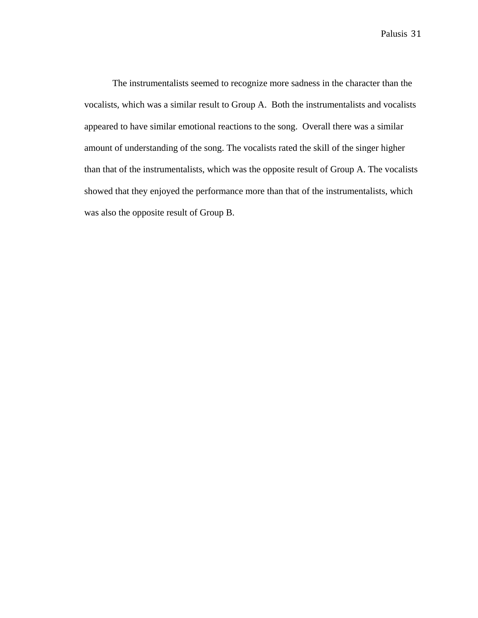The instrumentalists seemed to recognize more sadness in the character than the vocalists, which was a similar result to Group A. Both the instrumentalists and vocalists appeared to have similar emotional reactions to the song. Overall there was a similar amount of understanding of the song. The vocalists rated the skill of the singer higher than that of the instrumentalists, which was the opposite result of Group A. The vocalists showed that they enjoyed the performance more than that of the instrumentalists, which was also the opposite result of Group B.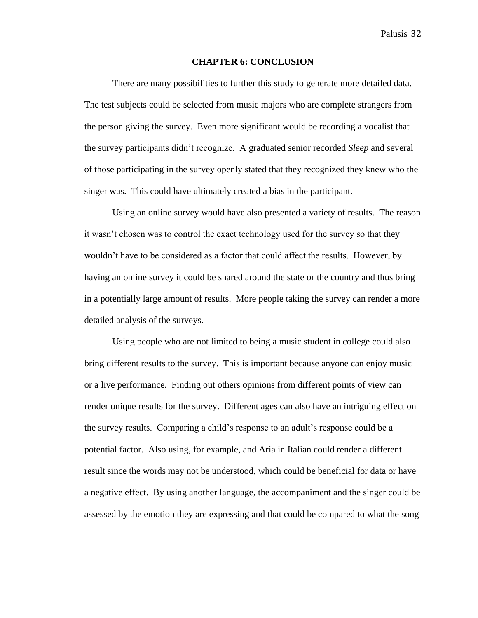#### **CHAPTER 6: CONCLUSION**

There are many possibilities to further this study to generate more detailed data. The test subjects could be selected from music majors who are complete strangers from the person giving the survey. Even more significant would be recording a vocalist that the survey participants didn't recognize. A graduated senior recorded *Sleep* and several of those participating in the survey openly stated that they recognized they knew who the singer was. This could have ultimately created a bias in the participant.

Using an online survey would have also presented a variety of results. The reason it wasn't chosen was to control the exact technology used for the survey so that they wouldn't have to be considered as a factor that could affect the results. However, by having an online survey it could be shared around the state or the country and thus bring in a potentially large amount of results. More people taking the survey can render a more detailed analysis of the surveys.

Using people who are not limited to being a music student in college could also bring different results to the survey. This is important because anyone can enjoy music or a live performance. Finding out others opinions from different points of view can render unique results for the survey. Different ages can also have an intriguing effect on the survey results. Comparing a child's response to an adult's response could be a potential factor. Also using, for example, and Aria in Italian could render a different result since the words may not be understood, which could be beneficial for data or have a negative effect. By using another language, the accompaniment and the singer could be assessed by the emotion they are expressing and that could be compared to what the song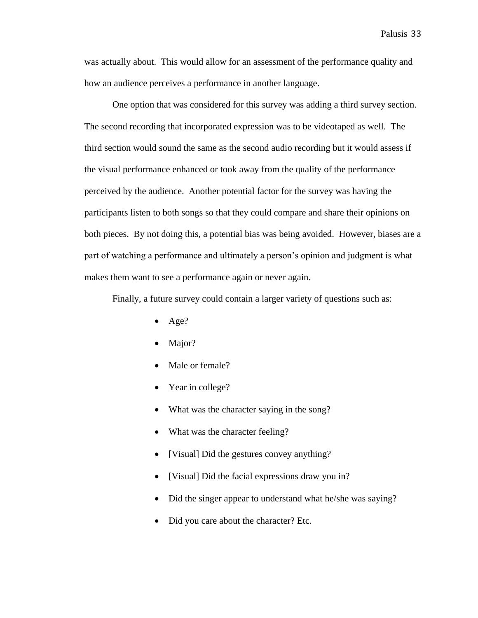was actually about. This would allow for an assessment of the performance quality and how an audience perceives a performance in another language.

One option that was considered for this survey was adding a third survey section. The second recording that incorporated expression was to be videotaped as well. The third section would sound the same as the second audio recording but it would assess if the visual performance enhanced or took away from the quality of the performance perceived by the audience. Another potential factor for the survey was having the participants listen to both songs so that they could compare and share their opinions on both pieces. By not doing this, a potential bias was being avoided. However, biases are a part of watching a performance and ultimately a person's opinion and judgment is what makes them want to see a performance again or never again.

Finally, a future survey could contain a larger variety of questions such as:

- Age?
- Major?
- Male or female?
- Year in college?
- What was the character saying in the song?
- What was the character feeling?
- [Visual] Did the gestures convey anything?
- [Visual] Did the facial expressions draw you in?
- Did the singer appear to understand what he/she was saying?
- Did you care about the character? Etc.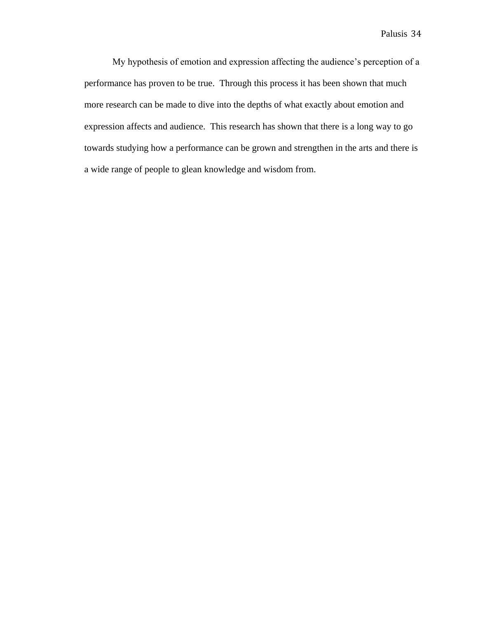My hypothesis of emotion and expression affecting the audience's perception of a performance has proven to be true. Through this process it has been shown that much more research can be made to dive into the depths of what exactly about emotion and expression affects and audience. This research has shown that there is a long way to go towards studying how a performance can be grown and strengthen in the arts and there is a wide range of people to glean knowledge and wisdom from.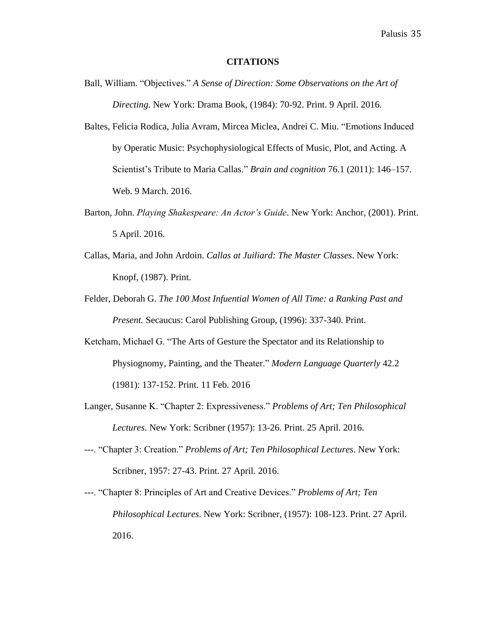#### **CITATIONS**

- Ball, William. "Objectives." *A Sense of Direction: Some Observations on the Art of Directing*. New York: Drama Book, (1984): 70-92. Print. 9 April. 2016.
- Baltes, Felicia Rodica, Julia Avram, Mircea Miclea, Andrei C. Miu. "Emotions Induced by Operatic Music: Psychophysiological Effects of Music, Plot, and Acting. A Scientist's Tribute to Maria Callas." *Brain and cognition* 76.1 (2011): 146–157. Web. 9 March. 2016.
- Barton, John. *Playing Shakespeare: An Actor's Guide*. New York: Anchor, (2001). Print. 5 April. 2016.
- Callas, Maria, and John Ardoin. *Callas at Juiliard: The Master Classes*. New York: Knopf, (1987). Print.
- Felder, Deborah G. *The 100 Most Infuential Women of All Time: a Ranking Past and Present.* Secaucus: Carol Publishing Group, (1996): 337-340. Print.
- Ketcham, Michael G. "The Arts of Gesture the Spectator and its Relationship to Physiognomy, Painting, and the Theater." *Modern Language Quarterly* 42.2 (1981): 137-152. Print. 11 Feb. 2016
- Langer, Susanne K. "Chapter 2: Expressiveness." *Problems of Art; Ten Philosophical Lectures*. New York: Scribner (1957): 13-26. Print. 25 April. 2016.
- ---. "Chapter 3: Creation." *Problems of Art; Ten Philosophical Lectures*. New York: Scribner, 1957: 27-43. Print. 27 April. 2016.
- ---. "Chapter 8: Principles of Art and Creative Devices." *Problems of Art; Ten Philosophical Lectures*. New York: Scribner, (1957): 108-123. Print. 27 April. 2016.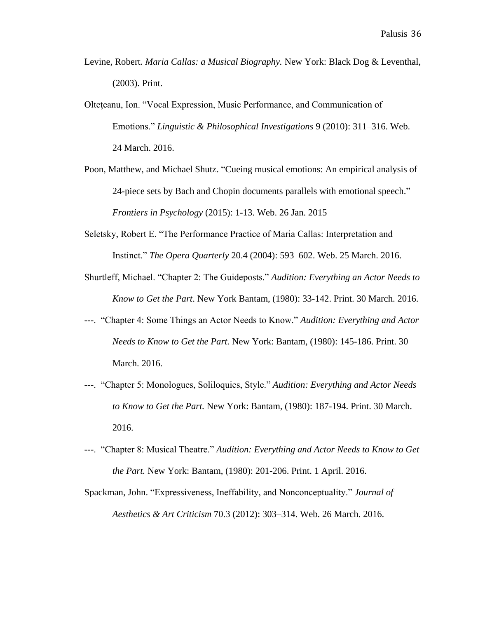- Levine, Robert. *Maria Callas: a Musical Biography.* New York: Black Dog & Leventhal, (2003). Print.
- Olteţeanu, Ion. "Vocal Expression, Music Performance, and Communication of Emotions." *Linguistic & Philosophical Investigations* 9 (2010): 311–316. Web. 24 March. 2016.
- Poon, Matthew, and Michael Shutz. "Cueing musical emotions: An empirical analysis of 24-piece sets by Bach and Chopin documents parallels with emotional speech." *Frontiers in Psychology* (2015): 1-13. Web. 26 Jan. 2015
- Seletsky, Robert E. "The Performance Practice of Maria Callas: Interpretation and Instinct." *The Opera Quarterly* 20.4 (2004): 593–602. Web. 25 March. 2016.
- Shurtleff, Michael. "Chapter 2: The Guideposts." *Audition: Everything an Actor Needs to Know to Get the Part*. New York Bantam, (1980): 33-142. Print. 30 March. 2016.
- ---. "Chapter 4: Some Things an Actor Needs to Know." *Audition: Everything and Actor Needs to Know to Get the Part.* New York: Bantam, (1980): 145-186. Print. 30 March. 2016.
- ---. "Chapter 5: Monologues, Soliloquies, Style." *Audition: Everything and Actor Needs to Know to Get the Part.* New York: Bantam, (1980): 187-194. Print. 30 March. 2016.
- ---. "Chapter 8: Musical Theatre." *Audition: Everything and Actor Needs to Know to Get the Part.* New York: Bantam, (1980): 201-206. Print. 1 April. 2016.
- Spackman, John. "Expressiveness, Ineffability, and Nonconceptuality." *Journal of Aesthetics & Art Criticism* 70.3 (2012): 303–314. Web. 26 March. 2016.